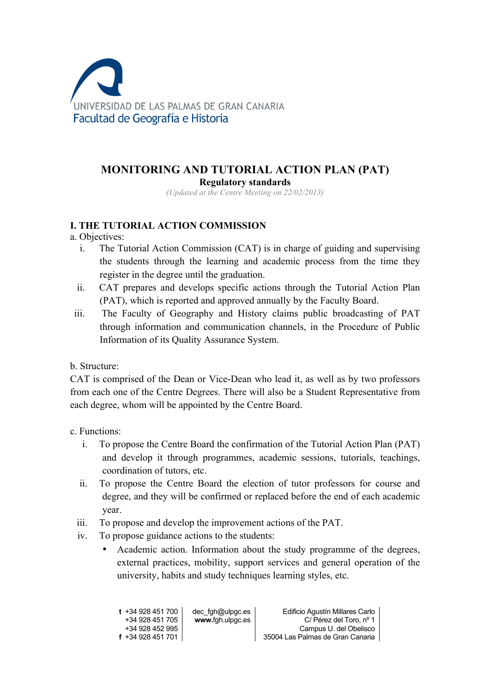

# **MONITORING AND TUTORIAL ACTION PLAN (PAT) Regulatory standards**

*(Updated at the Centre Meeting on 22/02/2013)*

## **I. THE TUTORIAL ACTION COMMISSION**

- a. Objectives:
	- i. The Tutorial Action Commission (CAT) is in charge of guiding and supervising the students through the learning and academic process from the time they register in the degree until the graduation.
	- ii. CAT prepares and develops specific actions through the Tutorial Action Plan (PAT), which is reported and approved annually by the Faculty Board.
- iii. The Faculty of Geography and History claims public broadcasting of PAT through information and communication channels, in the Procedure of Public Information of its Quality Assurance System.

b. Structure:

CAT is comprised of the Dean or Vice-Dean who lead it, as well as by two professors from each one of the Centre Degrees. There will also be a Student Representative from each degree, whom will be appointed by the Centre Board.

c. Functions:

- i. To propose the Centre Board the confirmation of the Tutorial Action Plan (PAT) and develop it through programmes, academic sessions, tutorials, teachings, coordination of tutors, etc.
- ii. To propose the Centre Board the election of tutor professors for course and degree, and they will be confirmed or replaced before the end of each academic year.
- iii. To propose and develop the improvement actions of the PAT.
- iv. To propose guidance actions to the students:
	- Academic action. Information about the study programme of the degrees, external practices, mobility, support services and general operation of the university, habits and study techniques learning styles, etc.

| t +34 928 451 700                    | dec fgh@ulpgc.es | Edificio Agustín Millares Carlo                            |
|--------------------------------------|------------------|------------------------------------------------------------|
| +34 928 451 705                      | www.fgh.ulpgc.es | C/ Pérez del Toro, nº 1                                    |
| +34 928 452 995<br>f +34 928 451 701 |                  | Campus U. del Obelisco<br>35004 Las Palmas de Gran Canaria |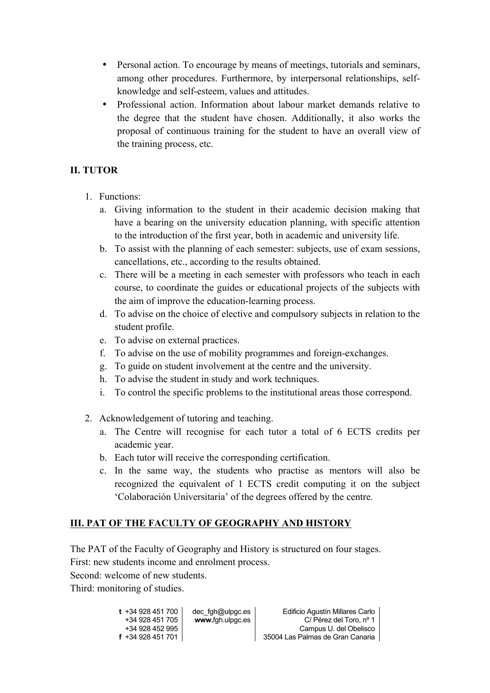- Personal action. To encourage by means of meetings, tutorials and seminars, among other procedures. Furthermore, by interpersonal relationships, selfknowledge and self-esteem, values and attitudes.
- Professional action. Information about labour market demands relative to the degree that the student have chosen. Additionally, it also works the proposal of continuous training for the student to have an overall view of the training process, etc.

# **II. TUTOR**

- 1. Functions:
	- a. Giving information to the student in their academic decision making that have a bearing on the university education planning, with specific attention to the introduction of the first year, both in academic and university life.
	- b. To assist with the planning of each semester: subjects, use of exam sessions, cancellations, etc., according to the results obtained.
	- c. There will be a meeting in each semester with professors who teach in each course, to coordinate the guides or educational projects of the subjects with the aim of improve the education-learning process.
	- d. To advise on the choice of elective and compulsory subjects in relation to the student profile.
	- e. To advise on external practices.
	- f. To advise on the use of mobility programmes and foreign-exchanges.
	- g. To guide on student involvement at the centre and the university.
	- h. To advise the student in study and work techniques.
	- i. To control the specific problems to the institutional areas those correspond.
- 2. Acknowledgement of tutoring and teaching.
	- a. The Centre will recognise for each tutor a total of 6 ECTS credits per academic year.
	- b. Each tutor will receive the corresponding certification.
	- c. In the same way, the students who practise as mentors will also be recognized the equivalent of 1 ECTS credit computing it on the subject 'Colaboración Universitaria' of the degrees offered by the centre.

# **III. PAT OF THE FACULTY OF GEOGRAPHY AND HISTORY**

The PAT of the Faculty of Geography and History is structured on four stages.

First: new students income and enrolment process.

Second: welcome of new students.

Third: monitoring of studies.

| $t + 34928451700$ | dec fgh@ulpgc.es | Edificio Agustín Millares Carlo  |
|-------------------|------------------|----------------------------------|
| +34 928 451 705   | www.fgh.ulpgc.es | C/Pérez del Toro, nº 1           |
| +34 928 452 995   |                  | Campus U. del Obelisco           |
| f +34 928 451 701 |                  | 35004 Las Palmas de Gran Canaria |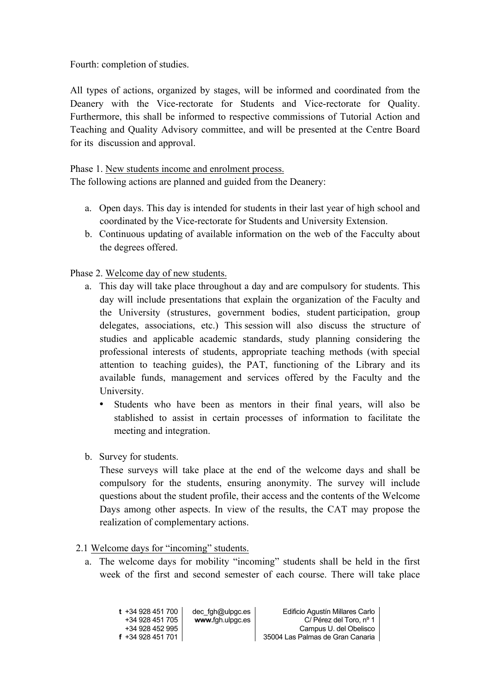Fourth: completion of studies.

All types of actions, organized by stages, will be informed and coordinated from the Deanery with the Vice-rectorate for Students and Vice-rectorate for Quality. Furthermore, this shall be informed to respective commissions of Tutorial Action and Teaching and Quality Advisory committee, and will be presented at the Centre Board for its discussion and approval.

Phase 1. New students income and enrolment process. The following actions are planned and guided from the Deanery:

- a. Open days. This day is intended for students in their last year of high school and coordinated by the Vice-rectorate for Students and University Extension.
- b. Continuous updating of available information on the web of the Facculty about the degrees offered.

Phase 2. Welcome day of new students.

- a. This day will take place throughout a day and are compulsory for students. This day will include presentations that explain the organization of the Faculty and the University (strustures, government bodies, student participation, group delegates, associations, etc.) This session will also discuss the structure of studies and applicable academic standards, study planning considering the professional interests of students, appropriate teaching methods (with special attention to teaching guides), the PAT, functioning of the Library and its available funds, management and services offered by the Faculty and the University.
	- Students who have been as mentors in their final years, will also be stablished to assist in certain processes of information to facilitate the meeting and integration.
- b. Survey for students.

These surveys will take place at the end of the welcome days and shall be compulsory for the students, ensuring anonymity. The survey will include questions about the student profile, their access and the contents of the Welcome Days among other aspects. In view of the results, the CAT may propose the realization of complementary actions.

#### 2.1 Welcome days for "incoming" students.

a. The welcome days for mobility "incoming" students shall be held in the first week of the first and second semester of each course. There will take place

| $t + 34928451700$                    | dec fgh@ulpgc.es | Edificio Agustín Millares Carlo                            |
|--------------------------------------|------------------|------------------------------------------------------------|
| +34 928 451 705                      | www.fgh.ulpgc.es | C/ Pérez del Toro, nº 1                                    |
| +34 928 452 995<br>$f + 34928451701$ |                  | Campus U. del Obelisco<br>35004 Las Palmas de Gran Canaria |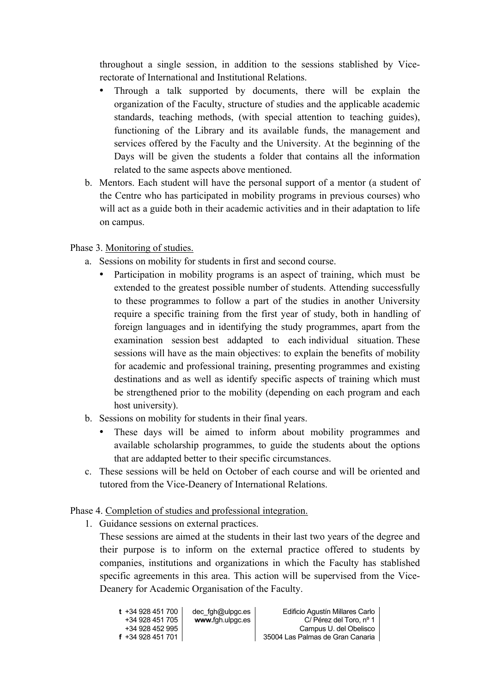throughout a single session, in addition to the sessions stablished by Vicerectorate of International and Institutional Relations.

- Through a talk supported by documents, there will be explain the organization of the Faculty, structure of studies and the applicable academic standards, teaching methods, (with special attention to teaching guides), functioning of the Library and its available funds, the management and services offered by the Faculty and the University. At the beginning of the Days will be given the students a folder that contains all the information related to the same aspects above mentioned.
- b. Mentors. Each student will have the personal support of a mentor (a student of the Centre who has participated in mobility programs in previous courses) who will act as a guide both in their academic activities and in their adaptation to life on campus.

## Phase 3. Monitoring of studies.

- a. Sessions on mobility for students in first and second course.
	- Participation in mobility programs is an aspect of training, which must be extended to the greatest possible number of students. Attending successfully to these programmes to follow a part of the studies in another University require a specific training from the first year of study, both in handling of foreign languages and in identifying the study programmes, apart from the examination session best addapted to each individual situation. These sessions will have as the main objectives: to explain the benefits of mobility for academic and professional training, presenting programmes and existing destinations and as well as identify specific aspects of training which must be strengthened prior to the mobility (depending on each program and each host university).
- b. Sessions on mobility for students in their final years.
	- These days will be aimed to inform about mobility programmes and available scholarship programmes, to guide the students about the options that are addapted better to their specific circumstances.
- c. These sessions will be held on October of each course and will be oriented and tutored from the Vice-Deanery of International Relations.

Phase 4. Completion of studies and professional integration.

1. Guidance sessions on external practices.

These sessions are aimed at the students in their last two years of the degree and their purpose is to inform on the external practice offered to students by companies, institutions and organizations in which the Faculty has stablished specific agreements in this area. This action will be supervised from the Vice-Deanery for Academic Organisation of the Faculty.

| t  +34 928 451 700       | dec fgh@ulpgc.es | Edificio Agustín Millares Carlo  |
|--------------------------|------------------|----------------------------------|
| +34 928 451 705          | www.fgh.ulpgc.es | C/ Pérez del Toro, nº 1          |
| +34 928 452 995          |                  | Campus U. del Obelisco           |
| <b>f</b> +34 928 451 701 |                  | 35004 Las Palmas de Gran Canaria |